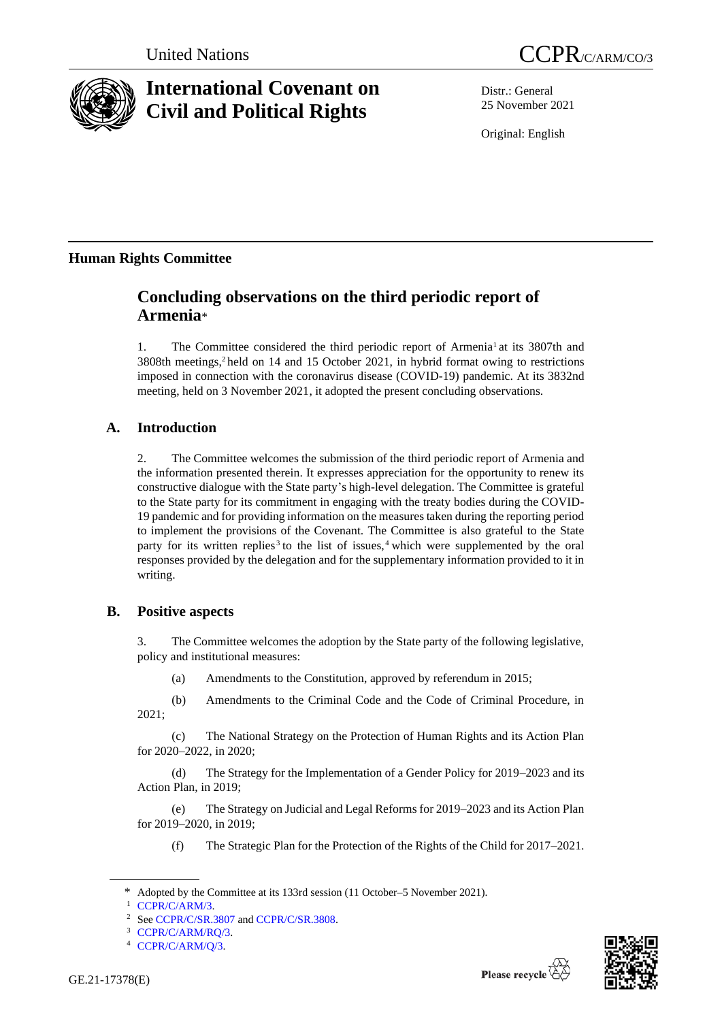

# **International Covenant on Civil and Political Rights**



Distr.: General 25 November 2021

Original: English

# **Human Rights Committee**

# **Concluding observations on the third periodic report of Armenia**\*

1. The Committee considered the third periodic report of Armenia<sup>1</sup> at its 3807th and 3808th meetings,<sup>2</sup> held on 14 and 15 October 2021, in hybrid format owing to restrictions imposed in connection with the coronavirus disease (COVID-19) pandemic. At its 3832nd meeting, held on 3 November 2021, it adopted the present concluding observations.

# **A. Introduction**

2. The Committee welcomes the submission of the third periodic report of Armenia and the information presented therein. It expresses appreciation for the opportunity to renew its constructive dialogue with the State party's high-level delegation. The Committee is grateful to the State party for its commitment in engaging with the treaty bodies during the COVID-19 pandemic and for providing information on the measures taken during the reporting period to implement the provisions of the Covenant. The Committee is also grateful to the State party for its written replies<sup>3</sup> to the list of issues,<sup>4</sup> which were supplemented by the oral responses provided by the delegation and for the supplementary information provided to it in writing.

# **B. Positive aspects**

3. The Committee welcomes the adoption by the State party of the following legislative, policy and institutional measures:

(a) Amendments to the Constitution, approved by referendum in 2015;

(b) Amendments to the Criminal Code and the Code of Criminal Procedure, in 2021;

(c) The National Strategy on the Protection of Human Rights and its Action Plan for 2020–2022, in 2020;

(d) The Strategy for the Implementation of a Gender Policy for 2019–2023 and its Action Plan, in 2019;

(e) The Strategy on Judicial and Legal Reforms for 2019–2023 and its Action Plan for 2019–2020, in 2019;

(f) The Strategic Plan for the Protection of the Rights of the Child for 2017–2021.





<sup>\*</sup> Adopted by the Committee at its 133rd session (11 October–5 November 2021).

[CCPR/C/ARM/3.](http://undocs.org/en/CCPR/C/ARM/3)

Se[e CCPR/C/SR.3807](http://undocs.org/en/CCPR/C/SR.3807) an[d CCPR/C/SR.3808.](http://undocs.org/en/CCPR/C/SR.3808)

<sup>3</sup> [CCPR/C/ARM/RQ/3.](http://undocs.org/en/CCPR/C/ARM/RQ/3)

<sup>4</sup> [CCPR/C/ARM/Q/3.](http://undocs.org/en/CCPR/C/ARM/Q/3)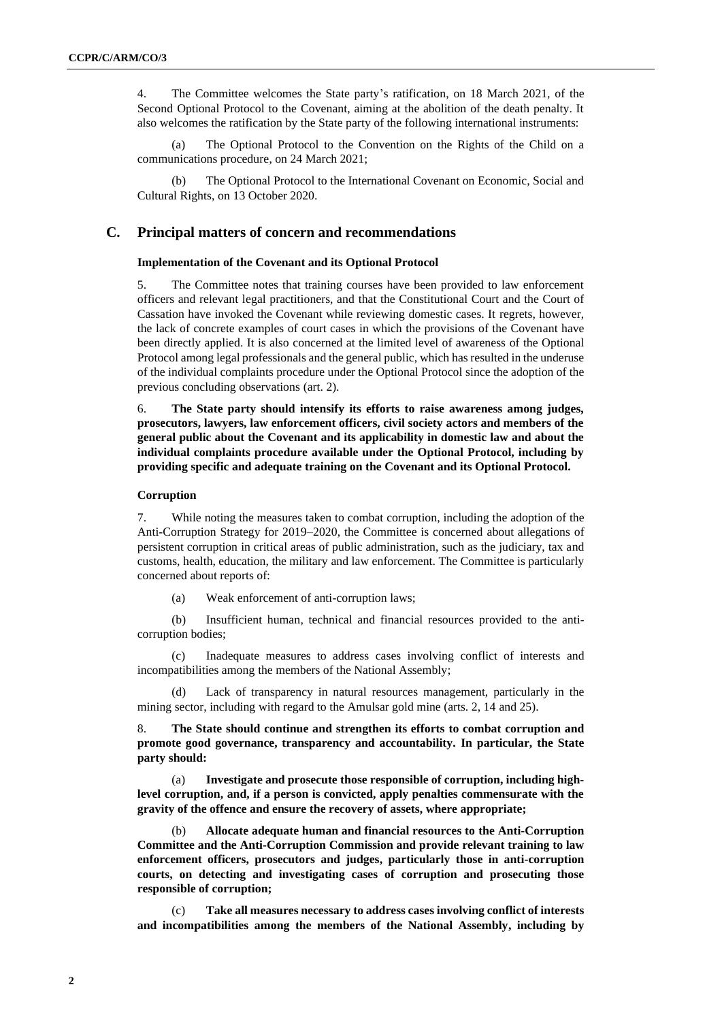4. The Committee welcomes the State party's ratification, on 18 March 2021, of the Second Optional Protocol to the Covenant, aiming at the abolition of the death penalty. It also welcomes the ratification by the State party of the following international instruments:

(a) The Optional Protocol to the Convention on the Rights of the Child on a communications procedure, on 24 March 2021;

(b) The Optional Protocol to the International Covenant on Economic, Social and Cultural Rights, on 13 October 2020.

## **C. Principal matters of concern and recommendations**

### **Implementation of the Covenant and its Optional Protocol**

5. The Committee notes that training courses have been provided to law enforcement officers and relevant legal practitioners, and that the Constitutional Court and the Court of Cassation have invoked the Covenant while reviewing domestic cases. It regrets, however, the lack of concrete examples of court cases in which the provisions of the Covenant have been directly applied. It is also concerned at the limited level of awareness of the Optional Protocol among legal professionals and the general public, which has resulted in the underuse of the individual complaints procedure under the Optional Protocol since the adoption of the previous concluding observations (art. 2).

6. **The State party should intensify its efforts to raise awareness among judges, prosecutors, lawyers, law enforcement officers, civil society actors and members of the general public about the Covenant and its applicability in domestic law and about the individual complaints procedure available under the Optional Protocol, including by providing specific and adequate training on the Covenant and its Optional Protocol.**

#### **Corruption**

7. While noting the measures taken to combat corruption, including the adoption of the Anti-Corruption Strategy for 2019–2020, the Committee is concerned about allegations of persistent corruption in critical areas of public administration, such as the judiciary, tax and customs, health, education, the military and law enforcement. The Committee is particularly concerned about reports of:

(a) Weak enforcement of anti-corruption laws;

(b) Insufficient human, technical and financial resources provided to the anticorruption bodies;

Inadequate measures to address cases involving conflict of interests and incompatibilities among the members of the National Assembly;

(d) Lack of transparency in natural resources management, particularly in the mining sector, including with regard to the Amulsar gold mine (arts. 2, 14 and 25).

8. **The State should continue and strengthen its efforts to combat corruption and promote good governance, transparency and accountability. In particular, the State party should:**

(a) **Investigate and prosecute those responsible of corruption, including highlevel corruption, and, if a person is convicted, apply penalties commensurate with the gravity of the offence and ensure the recovery of assets, where appropriate;**

(b) **Allocate adequate human and financial resources to the Anti-Corruption Committee and the Anti-Corruption Commission and provide relevant training to law enforcement officers, prosecutors and judges, particularly those in anti-corruption courts, on detecting and investigating cases of corruption and prosecuting those responsible of corruption;**

(c) **Take all measures necessary to address cases involving conflict of interests and incompatibilities among the members of the National Assembly, including by**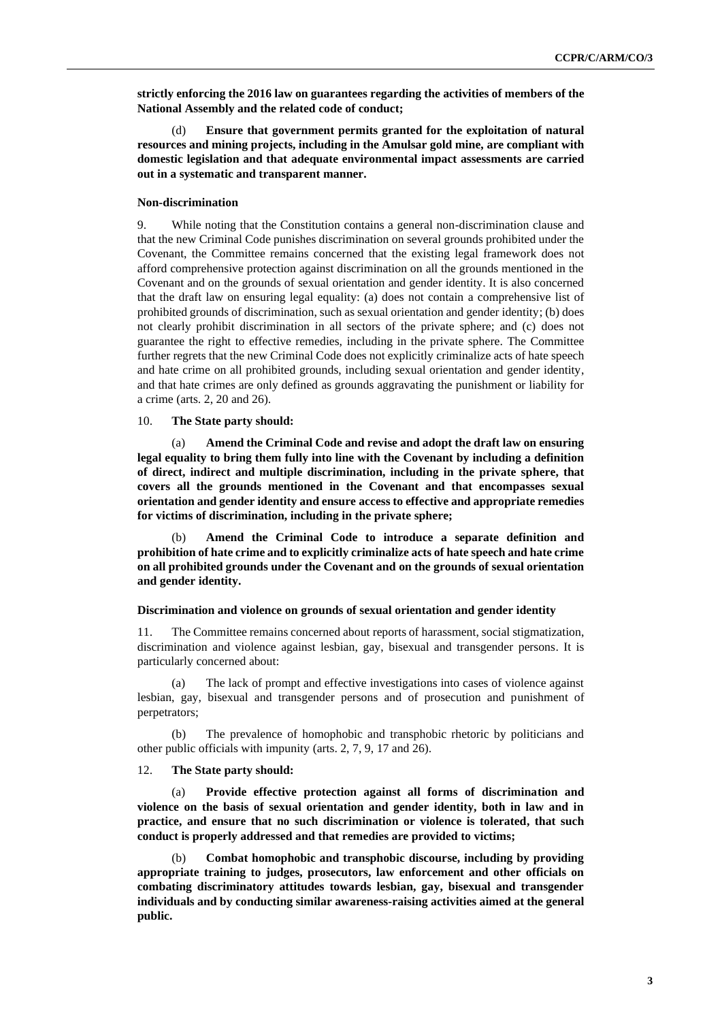**strictly enforcing the 2016 law on guarantees regarding the activities of members of the National Assembly and the related code of conduct;**

(d) **Ensure that government permits granted for the exploitation of natural resources and mining projects, including in the Amulsar gold mine, are compliant with domestic legislation and that adequate environmental impact assessments are carried out in a systematic and transparent manner.**

#### **Non-discrimination**

9. While noting that the Constitution contains a general non-discrimination clause and that the new Criminal Code punishes discrimination on several grounds prohibited under the Covenant, the Committee remains concerned that the existing legal framework does not afford comprehensive protection against discrimination on all the grounds mentioned in the Covenant and on the grounds of sexual orientation and gender identity. It is also concerned that the draft law on ensuring legal equality: (a) does not contain a comprehensive list of prohibited grounds of discrimination, such as sexual orientation and gender identity; (b) does not clearly prohibit discrimination in all sectors of the private sphere; and (c) does not guarantee the right to effective remedies, including in the private sphere. The Committee further regrets that the new Criminal Code does not explicitly criminalize acts of hate speech and hate crime on all prohibited grounds, including sexual orientation and gender identity, and that hate crimes are only defined as grounds aggravating the punishment or liability for a crime (arts. 2, 20 and 26).

#### 10. **The State party should:**

(a) **Amend the Criminal Code and revise and adopt the draft law on ensuring legal equality to bring them fully into line with the Covenant by including a definition of direct, indirect and multiple discrimination, including in the private sphere, that covers all the grounds mentioned in the Covenant and that encompasses sexual orientation and gender identity and ensure access to effective and appropriate remedies for victims of discrimination, including in the private sphere;**

(b) **Amend the Criminal Code to introduce a separate definition and prohibition of hate crime and to explicitly criminalize acts of hate speech and hate crime on all prohibited grounds under the Covenant and on the grounds of sexual orientation and gender identity.**

### **Discrimination and violence on grounds of sexual orientation and gender identity**

11. The Committee remains concerned about reports of harassment, social stigmatization, discrimination and violence against lesbian, gay, bisexual and transgender persons. It is particularly concerned about:

(a) The lack of prompt and effective investigations into cases of violence against lesbian, gay, bisexual and transgender persons and of prosecution and punishment of perpetrators;

(b) The prevalence of homophobic and transphobic rhetoric by politicians and other public officials with impunity (arts. 2, 7, 9, 17 and 26).

12. **The State party should:** 

(a) **Provide effective protection against all forms of discrimination and violence on the basis of sexual orientation and gender identity, both in law and in practice, and ensure that no such discrimination or violence is tolerated, that such conduct is properly addressed and that remedies are provided to victims;** 

(b) **Combat homophobic and transphobic discourse, including by providing appropriate training to judges, prosecutors, law enforcement and other officials on combating discriminatory attitudes towards lesbian, gay, bisexual and transgender individuals and by conducting similar awareness-raising activities aimed at the general public.**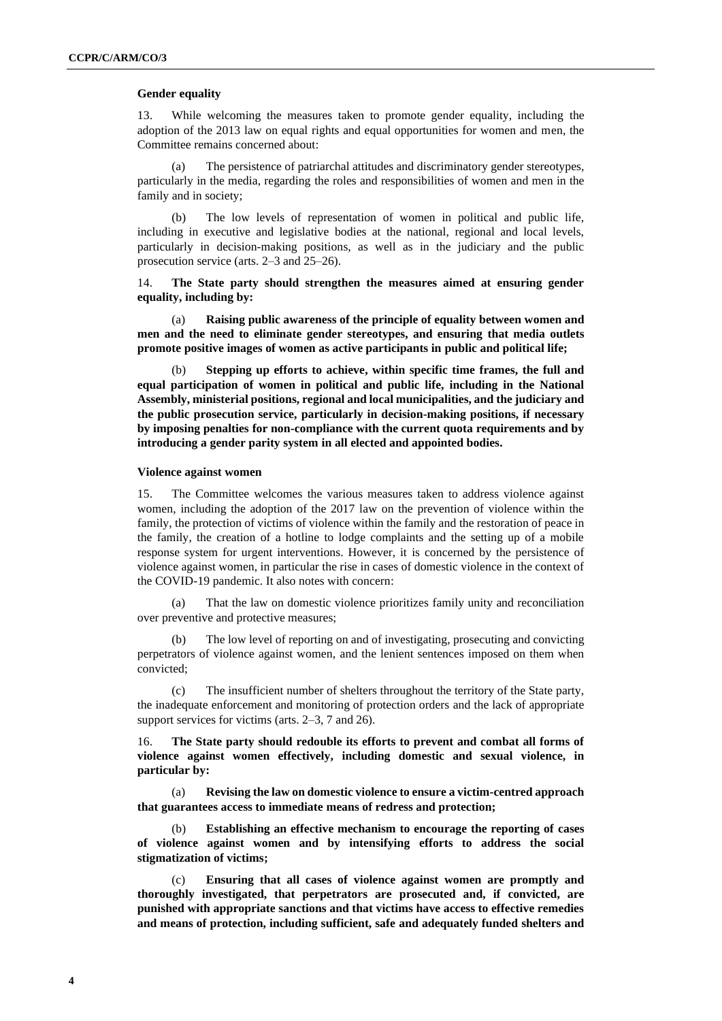#### **Gender equality**

13. While welcoming the measures taken to promote gender equality, including the adoption of the 2013 law on equal rights and equal opportunities for women and men, the Committee remains concerned about:

(a) The persistence of patriarchal attitudes and discriminatory gender stereotypes, particularly in the media, regarding the roles and responsibilities of women and men in the family and in society;

(b) The low levels of representation of women in political and public life, including in executive and legislative bodies at the national, regional and local levels, particularly in decision-making positions, as well as in the judiciary and the public prosecution service (arts. 2–3 and 25–26).

14. **The State party should strengthen the measures aimed at ensuring gender equality, including by:** 

(a) **Raising public awareness of the principle of equality between women and men and the need to eliminate gender stereotypes, and ensuring that media outlets promote positive images of women as active participants in public and political life;**

(b) **Stepping up efforts to achieve, within specific time frames, the full and equal participation of women in political and public life, including in the National Assembly, ministerial positions, regional and local municipalities, and the judiciary and the public prosecution service, particularly in decision-making positions, if necessary by imposing penalties for non-compliance with the current quota requirements and by introducing a gender parity system in all elected and appointed bodies.**

### **Violence against women**

15. The Committee welcomes the various measures taken to address violence against women, including the adoption of the 2017 law on the prevention of violence within the family, the protection of victims of violence within the family and the restoration of peace in the family, the creation of a hotline to lodge complaints and the setting up of a mobile response system for urgent interventions. However, it is concerned by the persistence of violence against women, in particular the rise in cases of domestic violence in the context of the COVID-19 pandemic. It also notes with concern:

(a) That the law on domestic violence prioritizes family unity and reconciliation over preventive and protective measures;

(b) The low level of reporting on and of investigating, prosecuting and convicting perpetrators of violence against women, and the lenient sentences imposed on them when convicted;

(c) The insufficient number of shelters throughout the territory of the State party, the inadequate enforcement and monitoring of protection orders and the lack of appropriate support services for victims (arts. 2–3, 7 and 26).

16. **The State party should redouble its efforts to prevent and combat all forms of violence against women effectively, including domestic and sexual violence, in particular by:**

(a) **Revising the law on domestic violence to ensure a victim-centred approach that guarantees access to immediate means of redress and protection;**

Establishing an effective mechanism to encourage the reporting of cases **of violence against women and by intensifying efforts to address the social stigmatization of victims;**

(c) **Ensuring that all cases of violence against women are promptly and thoroughly investigated, that perpetrators are prosecuted and, if convicted, are punished with appropriate sanctions and that victims have access to effective remedies and means of protection, including sufficient, safe and adequately funded shelters and**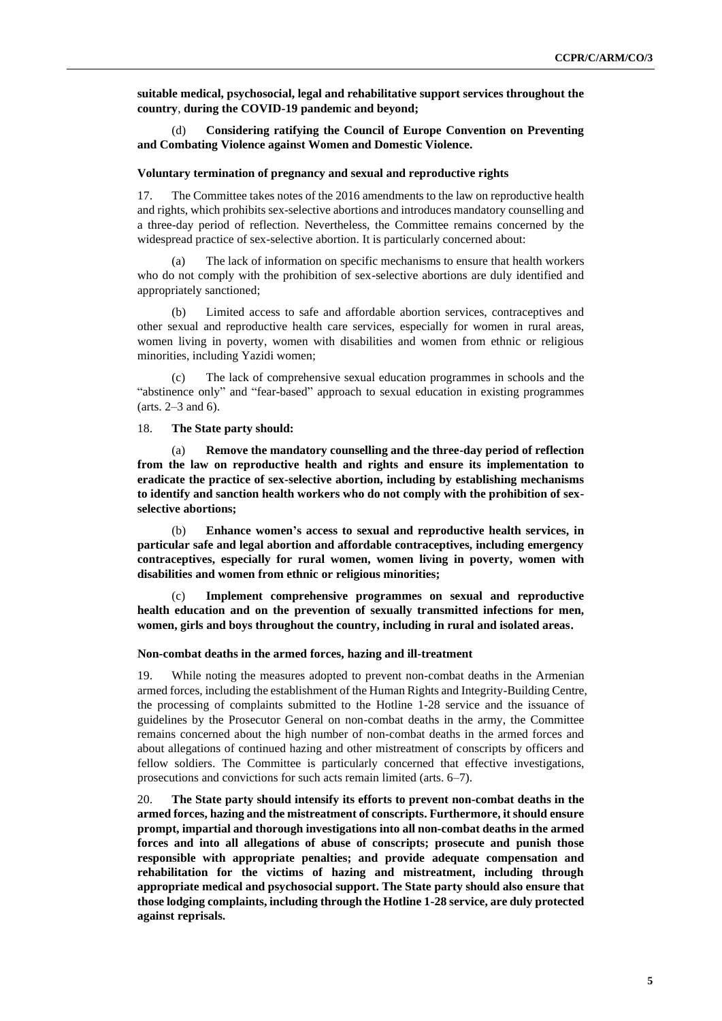**suitable medical, psychosocial, legal and rehabilitative support services throughout the country**, **during the COVID-19 pandemic and beyond;**

(d) **Considering ratifying the Council of Europe Convention on Preventing and Combating Violence against Women and Domestic Violence.**

#### **Voluntary termination of pregnancy and sexual and reproductive rights**

17. The Committee takes notes of the 2016 amendments to the law on reproductive health and rights, which prohibits sex-selective abortions and introduces mandatory counselling and a three-day period of reflection. Nevertheless, the Committee remains concerned by the widespread practice of sex-selective abortion. It is particularly concerned about:

The lack of information on specific mechanisms to ensure that health workers who do not comply with the prohibition of sex-selective abortions are duly identified and appropriately sanctioned;

(b) Limited access to safe and affordable abortion services, contraceptives and other sexual and reproductive health care services, especially for women in rural areas, women living in poverty, women with disabilities and women from ethnic or religious minorities, including Yazidi women;

The lack of comprehensive sexual education programmes in schools and the "abstinence only" and "fear-based" approach to sexual education in existing programmes (arts. 2–3 and 6).

18. **The State party should:**

(a) **Remove the mandatory counselling and the three-day period of reflection from the law on reproductive health and rights and ensure its implementation to eradicate the practice of sex-selective abortion, including by establishing mechanisms to identify and sanction health workers who do not comply with the prohibition of sexselective abortions;**

(b) **Enhance women's access to sexual and reproductive health services, in particular safe and legal abortion and affordable contraceptives, including emergency contraceptives, especially for rural women, women living in poverty, women with disabilities and women from ethnic or religious minorities;** 

(c) **Implement comprehensive programmes on sexual and reproductive health education and on the prevention of sexually transmitted infections for men, women, girls and boys throughout the country, including in rural and isolated areas.**

#### **Non-combat deaths in the armed forces, hazing and ill-treatment**

19. While noting the measures adopted to prevent non-combat deaths in the Armenian armed forces, including the establishment of the Human Rights and Integrity-Building Centre, the processing of complaints submitted to the Hotline 1-28 service and the issuance of guidelines by the Prosecutor General on non-combat deaths in the army, the Committee remains concerned about the high number of non-combat deaths in the armed forces and about allegations of continued hazing and other mistreatment of conscripts by officers and fellow soldiers. The Committee is particularly concerned that effective investigations, prosecutions and convictions for such acts remain limited (arts. 6–7).

20. **The State party should intensify its efforts to prevent non-combat deaths in the armed forces, hazing and the mistreatment of conscripts. Furthermore, it should ensure prompt, impartial and thorough investigations into all non-combat deaths in the armed forces and into all allegations of abuse of conscripts; prosecute and punish those responsible with appropriate penalties; and provide adequate compensation and rehabilitation for the victims of hazing and mistreatment, including through appropriate medical and psychosocial support. The State party should also ensure that those lodging complaints, including through the Hotline 1-28 service, are duly protected against reprisals.**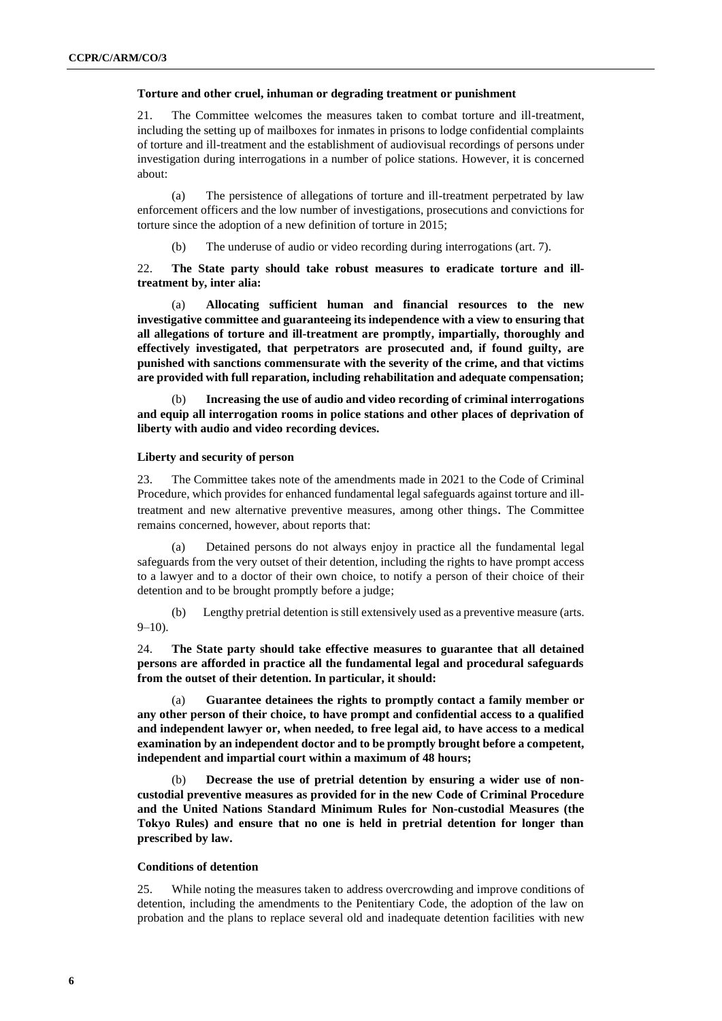#### **Torture and other cruel, inhuman or degrading treatment or punishment**

21. The Committee welcomes the measures taken to combat torture and ill-treatment, including the setting up of mailboxes for inmates in prisons to lodge confidential complaints of torture and ill-treatment and the establishment of audiovisual recordings of persons under investigation during interrogations in a number of police stations. However, it is concerned about:

(a) The persistence of allegations of torture and ill-treatment perpetrated by law enforcement officers and the low number of investigations, prosecutions and convictions for torture since the adoption of a new definition of torture in 2015;

(b) The underuse of audio or video recording during interrogations (art. 7).

22. **The State party should take robust measures to eradicate torture and illtreatment by, inter alia:**

(a) **Allocating sufficient human and financial resources to the new investigative committee and guaranteeing its independence with a view to ensuring that all allegations of torture and ill-treatment are promptly, impartially, thoroughly and effectively investigated, that perpetrators are prosecuted and, if found guilty, are punished with sanctions commensurate with the severity of the crime, and that victims are provided with full reparation, including rehabilitation and adequate compensation;**

(b) **Increasing the use of audio and video recording of criminal interrogations and equip all interrogation rooms in police stations and other places of deprivation of liberty with audio and video recording devices.**

### **Liberty and security of person**

23. The Committee takes note of the amendments made in 2021 to the Code of Criminal Procedure, which provides for enhanced fundamental legal safeguards against torture and illtreatment and new alternative preventive measures, among other things. The Committee remains concerned, however, about reports that:

(a) Detained persons do not always enjoy in practice all the fundamental legal safeguards from the very outset of their detention, including the rights to have prompt access to a lawyer and to a doctor of their own choice, to notify a person of their choice of their detention and to be brought promptly before a judge;

(b) Lengthy pretrial detention is still extensively used as a preventive measure (arts.  $9-10$ ).

24. **The State party should take effective measures to guarantee that all detained persons are afforded in practice all the fundamental legal and procedural safeguards from the outset of their detention. In particular, it should:**

Guarantee detainees the rights to promptly contact a family member or **any other person of their choice, to have prompt and confidential access to a qualified and independent lawyer or, when needed, to free legal aid, to have access to a medical examination by an independent doctor and to be promptly brought before a competent, independent and impartial court within a maximum of 48 hours;**

(b) **Decrease the use of pretrial detention by ensuring a wider use of noncustodial preventive measures as provided for in the new Code of Criminal Procedure and the United Nations Standard Minimum Rules for Non-custodial Measures (the Tokyo Rules) and ensure that no one is held in pretrial detention for longer than prescribed by law.**

#### **Conditions of detention**

25. While noting the measures taken to address overcrowding and improve conditions of detention, including the amendments to the Penitentiary Code, the adoption of the law on probation and the plans to replace several old and inadequate detention facilities with new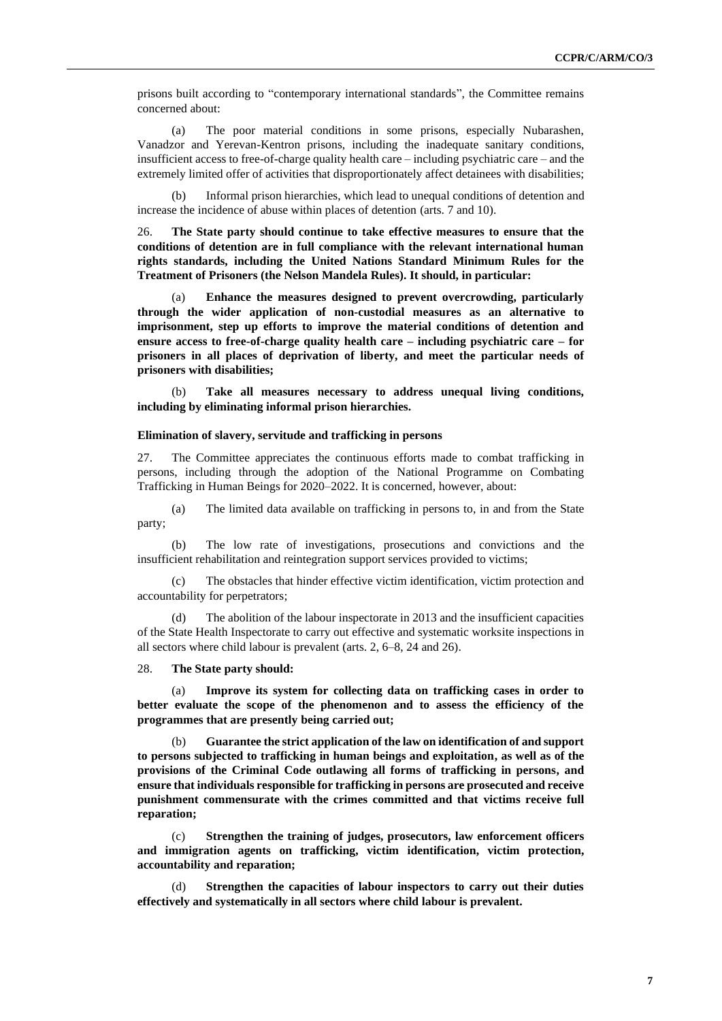prisons built according to "contemporary international standards", the Committee remains concerned about:

(a) The poor material conditions in some prisons, especially Nubarashen, Vanadzor and Yerevan-Kentron prisons, including the inadequate sanitary conditions, insufficient access to free-of-charge quality health care – including psychiatric care – and the extremely limited offer of activities that disproportionately affect detainees with disabilities;

(b) Informal prison hierarchies, which lead to unequal conditions of detention and increase the incidence of abuse within places of detention (arts. 7 and 10).

26. **The State party should continue to take effective measures to ensure that the conditions of detention are in full compliance with the relevant international human rights standards, including the United Nations Standard Minimum Rules for the Treatment of Prisoners (the Nelson Mandela Rules). It should, in particular:**

(a) **Enhance the measures designed to prevent overcrowding, particularly through the wider application of non-custodial measures as an alternative to imprisonment, step up efforts to improve the material conditions of detention and ensure access to free-of-charge quality health care – including psychiatric care – for prisoners in all places of deprivation of liberty, and meet the particular needs of prisoners with disabilities;**

(b) **Take all measures necessary to address unequal living conditions, including by eliminating informal prison hierarchies.**

#### **Elimination of slavery, servitude and trafficking in persons**

27. The Committee appreciates the continuous efforts made to combat trafficking in persons, including through the adoption of the National Programme on Combating Trafficking in Human Beings for 2020–2022. It is concerned, however, about:

(a) The limited data available on trafficking in persons to, in and from the State party;

(b) The low rate of investigations, prosecutions and convictions and the insufficient rehabilitation and reintegration support services provided to victims;

(c) The obstacles that hinder effective victim identification, victim protection and accountability for perpetrators;

(d) The abolition of the labour inspectorate in 2013 and the insufficient capacities of the State Health Inspectorate to carry out effective and systematic worksite inspections in all sectors where child labour is prevalent (arts. 2, 6–8, 24 and 26).

28. **The State party should:**

(a) **Improve its system for collecting data on trafficking cases in order to better evaluate the scope of the phenomenon and to assess the efficiency of the programmes that are presently being carried out;**

(b) **Guarantee the strict application of the law on identification of and support to persons subjected to trafficking in human beings and exploitation, as well as of the provisions of the Criminal Code outlawing all forms of trafficking in persons, and ensure that individuals responsible for trafficking in persons are prosecuted and receive punishment commensurate with the crimes committed and that victims receive full reparation;**

Strengthen the training of judges, prosecutors, law enforcement officers **and immigration agents on trafficking, victim identification, victim protection, accountability and reparation;**

(d) **Strengthen the capacities of labour inspectors to carry out their duties effectively and systematically in all sectors where child labour is prevalent.**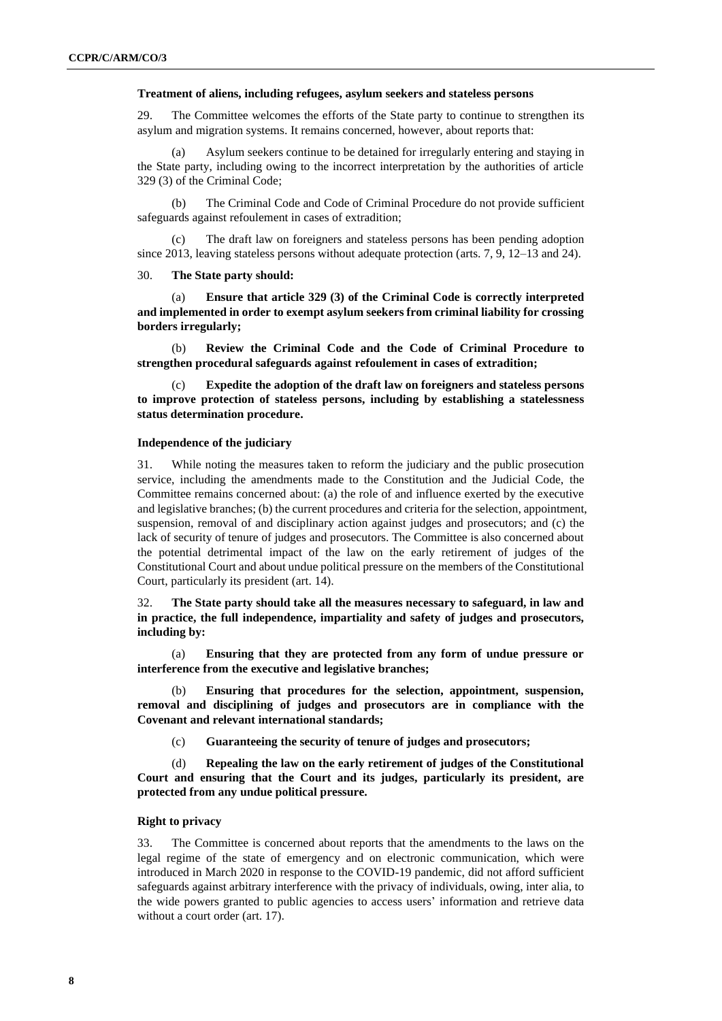#### **Treatment of aliens, including refugees, asylum seekers and stateless persons**

29. The Committee welcomes the efforts of the State party to continue to strengthen its asylum and migration systems. It remains concerned, however, about reports that:

Asylum seekers continue to be detained for irregularly entering and staying in the State party, including owing to the incorrect interpretation by the authorities of article 329 (3) of the Criminal Code;

(b) The Criminal Code and Code of Criminal Procedure do not provide sufficient safeguards against refoulement in cases of extradition;

The draft law on foreigners and stateless persons has been pending adoption since 2013, leaving stateless persons without adequate protection (arts. 7, 9, 12–13 and 24).

30. **The State party should:**

(a) **Ensure that article 329 (3) of the Criminal Code is correctly interpreted and implemented in order to exempt asylum seekers from criminal liability for crossing borders irregularly;** 

(b) **Review the Criminal Code and the Code of Criminal Procedure to strengthen procedural safeguards against refoulement in cases of extradition;**

(c) **Expedite the adoption of the draft law on foreigners and stateless persons to improve protection of stateless persons, including by establishing a statelessness status determination procedure.**

#### **Independence of the judiciary**

31. While noting the measures taken to reform the judiciary and the public prosecution service, including the amendments made to the Constitution and the Judicial Code, the Committee remains concerned about: (a) the role of and influence exerted by the executive and legislative branches; (b) the current procedures and criteria for the selection, appointment, suspension, removal of and disciplinary action against judges and prosecutors; and (c) the lack of security of tenure of judges and prosecutors. The Committee is also concerned about the potential detrimental impact of the law on the early retirement of judges of the Constitutional Court and about undue political pressure on the members of the Constitutional Court, particularly its president (art. 14).

32. **The State party should take all the measures necessary to safeguard, in law and in practice, the full independence, impartiality and safety of judges and prosecutors, including by:**

(a) **Ensuring that they are protected from any form of undue pressure or interference from the executive and legislative branches;**

Ensuring that procedures for the selection, appointment, suspension, **removal and disciplining of judges and prosecutors are in compliance with the Covenant and relevant international standards;** 

(c) **Guaranteeing the security of tenure of judges and prosecutors;**

(d) **Repealing the law on the early retirement of judges of the Constitutional Court and ensuring that the Court and its judges, particularly its president, are protected from any undue political pressure.** 

#### **Right to privacy**

33. The Committee is concerned about reports that the amendments to the laws on the legal regime of the state of emergency and on electronic communication, which were introduced in March 2020 in response to the COVID-19 pandemic, did not afford sufficient safeguards against arbitrary interference with the privacy of individuals, owing, inter alia, to the wide powers granted to public agencies to access users' information and retrieve data without a court order (art. 17).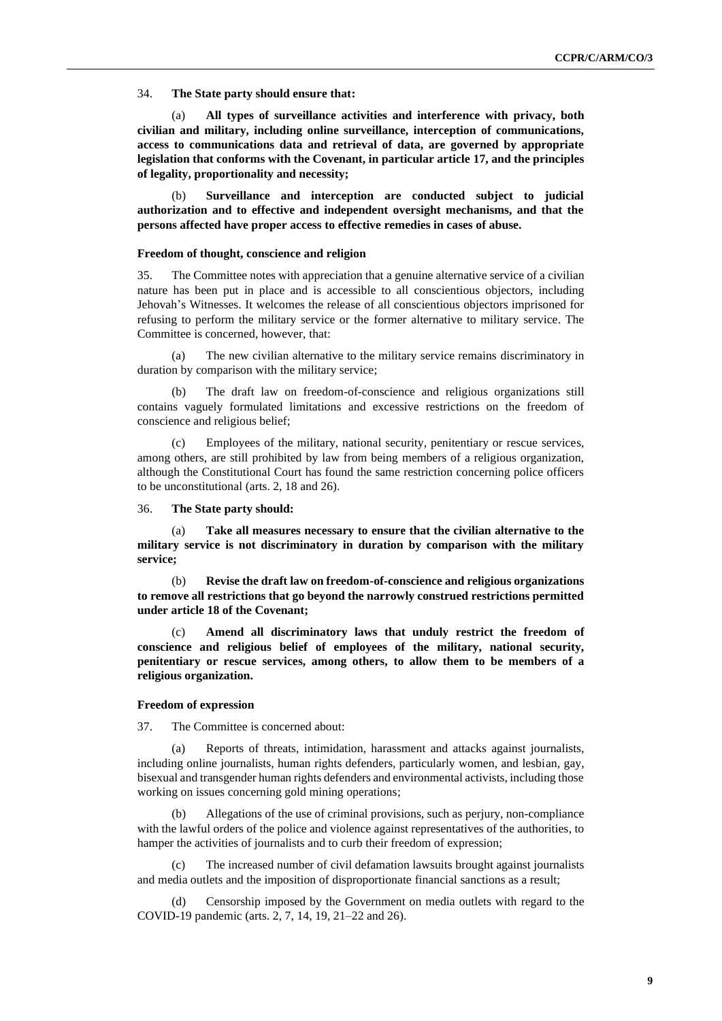34. **The State party should ensure that:**

(a) **All types of surveillance activities and interference with privacy, both civilian and military, including online surveillance, interception of communications, access to communications data and retrieval of data, are governed by appropriate legislation that conforms with the Covenant, in particular article 17, and the principles of legality, proportionality and necessity;** 

(b) **Surveillance and interception are conducted subject to judicial authorization and to effective and independent oversight mechanisms, and that the persons affected have proper access to effective remedies in cases of abuse.**

#### **Freedom of thought, conscience and religion**

35. The Committee notes with appreciation that a genuine alternative service of a civilian nature has been put in place and is accessible to all conscientious objectors, including Jehovah's Witnesses. It welcomes the release of all conscientious objectors imprisoned for refusing to perform the military service or the former alternative to military service. The Committee is concerned, however, that:

(a) The new civilian alternative to the military service remains discriminatory in duration by comparison with the military service;

(b) The draft law on freedom-of-conscience and religious organizations still contains vaguely formulated limitations and excessive restrictions on the freedom of conscience and religious belief;

(c) Employees of the military, national security, penitentiary or rescue services, among others, are still prohibited by law from being members of a religious organization, although the Constitutional Court has found the same restriction concerning police officers to be unconstitutional (arts. 2, 18 and 26).

36. **The State party should:**

(a) **Take all measures necessary to ensure that the civilian alternative to the military service is not discriminatory in duration by comparison with the military service;**

(b) **Revise the draft law on freedom-of-conscience and religious organizations to remove all restrictions that go beyond the narrowly construed restrictions permitted under article 18 of the Covenant;**

(c) **Amend all discriminatory laws that unduly restrict the freedom of conscience and religious belief of employees of the military, national security, penitentiary or rescue services, among others, to allow them to be members of a religious organization.**

#### **Freedom of expression**

37. The Committee is concerned about:

(a) Reports of threats, intimidation, harassment and attacks against journalists, including online journalists, human rights defenders, particularly women, and lesbian, gay, bisexual and transgender human rights defenders and environmental activists, including those working on issues concerning gold mining operations;

Allegations of the use of criminal provisions, such as perjury, non-compliance with the lawful orders of the police and violence against representatives of the authorities, to hamper the activities of journalists and to curb their freedom of expression;

(c) The increased number of civil defamation lawsuits brought against journalists and media outlets and the imposition of disproportionate financial sanctions as a result;

(d) Censorship imposed by the Government on media outlets with regard to the COVID-19 pandemic (arts. 2, 7, 14, 19, 21–22 and 26).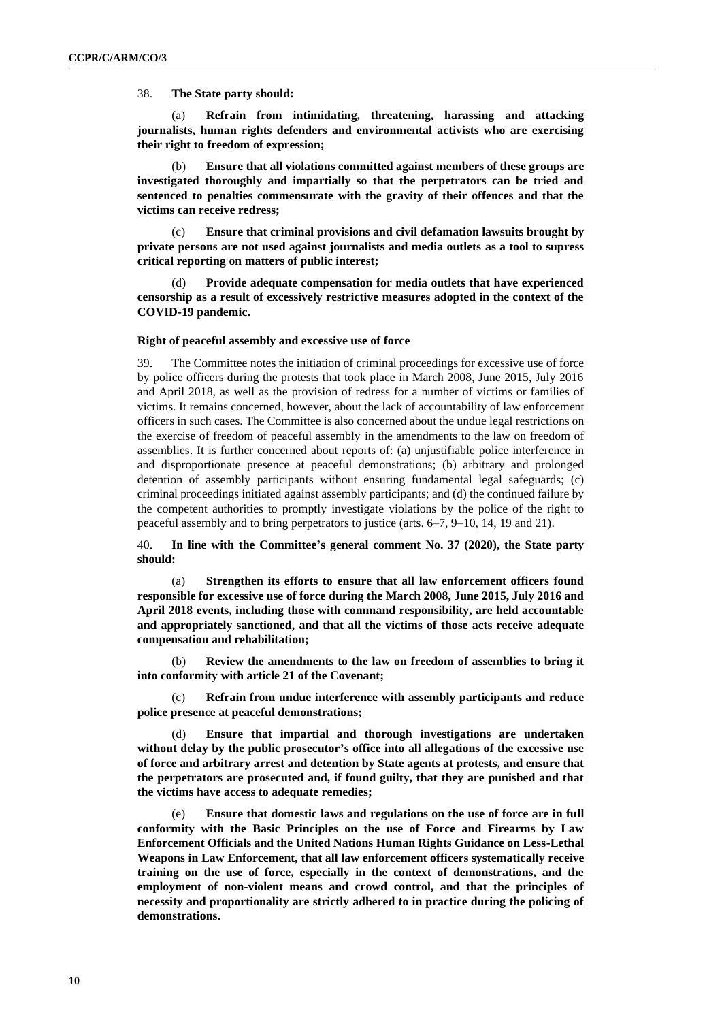38. **The State party should:**

(a) **Refrain from intimidating, threatening, harassing and attacking journalists, human rights defenders and environmental activists who are exercising their right to freedom of expression;**

(b) **Ensure that all violations committed against members of these groups are investigated thoroughly and impartially so that the perpetrators can be tried and sentenced to penalties commensurate with the gravity of their offences and that the victims can receive redress;** 

(c) **Ensure that criminal provisions and civil defamation lawsuits brought by private persons are not used against journalists and media outlets as a tool to supress critical reporting on matters of public interest;** 

(d) **Provide adequate compensation for media outlets that have experienced censorship as a result of excessively restrictive measures adopted in the context of the COVID-19 pandemic.**

#### **Right of peaceful assembly and excessive use of force**

39. The Committee notes the initiation of criminal proceedings for excessive use of force by police officers during the protests that took place in March 2008, June 2015, July 2016 and April 2018, as well as the provision of redress for a number of victims or families of victims. It remains concerned, however, about the lack of accountability of law enforcement officers in such cases. The Committee is also concerned about the undue legal restrictions on the exercise of freedom of peaceful assembly in the amendments to the law on freedom of assemblies. It is further concerned about reports of: (a) unjustifiable police interference in and disproportionate presence at peaceful demonstrations; (b) arbitrary and prolonged detention of assembly participants without ensuring fundamental legal safeguards; (c) criminal proceedings initiated against assembly participants; and (d) the continued failure by the competent authorities to promptly investigate violations by the police of the right to peaceful assembly and to bring perpetrators to justice (arts. 6–7, 9–10, 14, 19 and 21).

40. **In line with the Committee's general comment No. 37 (2020), the State party should:**

(a) **Strengthen its efforts to ensure that all law enforcement officers found responsible for excessive use of force during the March 2008, June 2015, July 2016 and April 2018 events, including those with command responsibility, are held accountable and appropriately sanctioned, and that all the victims of those acts receive adequate compensation and rehabilitation;** 

(b) **Review the amendments to the law on freedom of assemblies to bring it into conformity with article 21 of the Covenant;**

(c) **Refrain from undue interference with assembly participants and reduce police presence at peaceful demonstrations;**

(d) **Ensure that impartial and thorough investigations are undertaken without delay by the public prosecutor's office into all allegations of the excessive use of force and arbitrary arrest and detention by State agents at protests, and ensure that the perpetrators are prosecuted and, if found guilty, that they are punished and that the victims have access to adequate remedies;** 

(e) **Ensure that domestic laws and regulations on the use of force are in full conformity with the Basic Principles on the use of Force and Firearms by Law Enforcement Officials and the United Nations Human Rights Guidance on Less-Lethal Weapons in Law Enforcement, that all law enforcement officers systematically receive training on the use of force, especially in the context of demonstrations, and the employment of non-violent means and crowd control, and that the principles of necessity and proportionality are strictly adhered to in practice during the policing of demonstrations.**